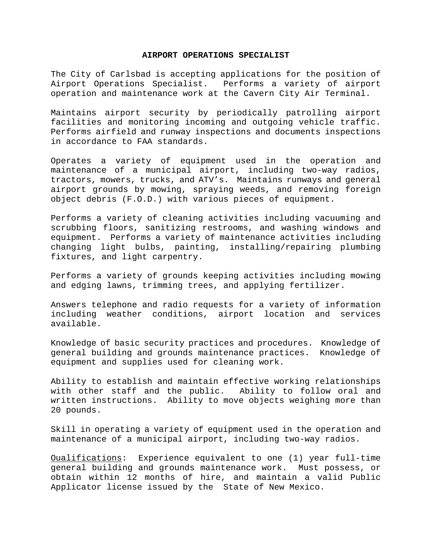## **AIRPORT OPERATIONS SPECIALIST**

The City of Carlsbad is accepting applications for the position of Airport Operations Specialist. Performs a variety of airport operation and maintenance work at the Cavern City Air Terminal.

Maintains airport security by periodically patrolling airport facilities and monitoring incoming and outgoing vehicle traffic. Performs airfield and runway inspections and documents inspections in accordance to FAA standards.

Operates a variety of equipment used in the operation and maintenance of a municipal airport, including two-way radios, tractors, mowers, trucks, and ATV's. Maintains runways and general airport grounds by mowing, spraying weeds, and removing foreign object debris (F.O.D.) with various pieces of equipment.

Performs a variety of cleaning activities including vacuuming and scrubbing floors, sanitizing restrooms, and washing windows and equipment. Performs a variety of maintenance activities including changing light bulbs, painting, installing/repairing plumbing fixtures, and light carpentry.

Performs a variety of grounds keeping activities including mowing and edging lawns, trimming trees, and applying fertilizer.

Answers telephone and radio requests for a variety of information including weather conditions, airport location and services available.

Knowledge of basic security practices and procedures. Knowledge of general building and grounds maintenance practices. Knowledge of equipment and supplies used for cleaning work.

Ability to establish and maintain effective working relationships with other staff and the public. Ability to follow oral and written instructions. Ability to move objects weighing more than 20 pounds.

Skill in operating a variety of equipment used in the operation and maintenance of a municipal airport, including two-way radios.

Oualifications: Experience equivalent to one (1) year full-time general building and grounds maintenance work. Must possess, or obtain within 12 months of hire, and maintain a valid Public Applicator license issued by the State of New Mexico.